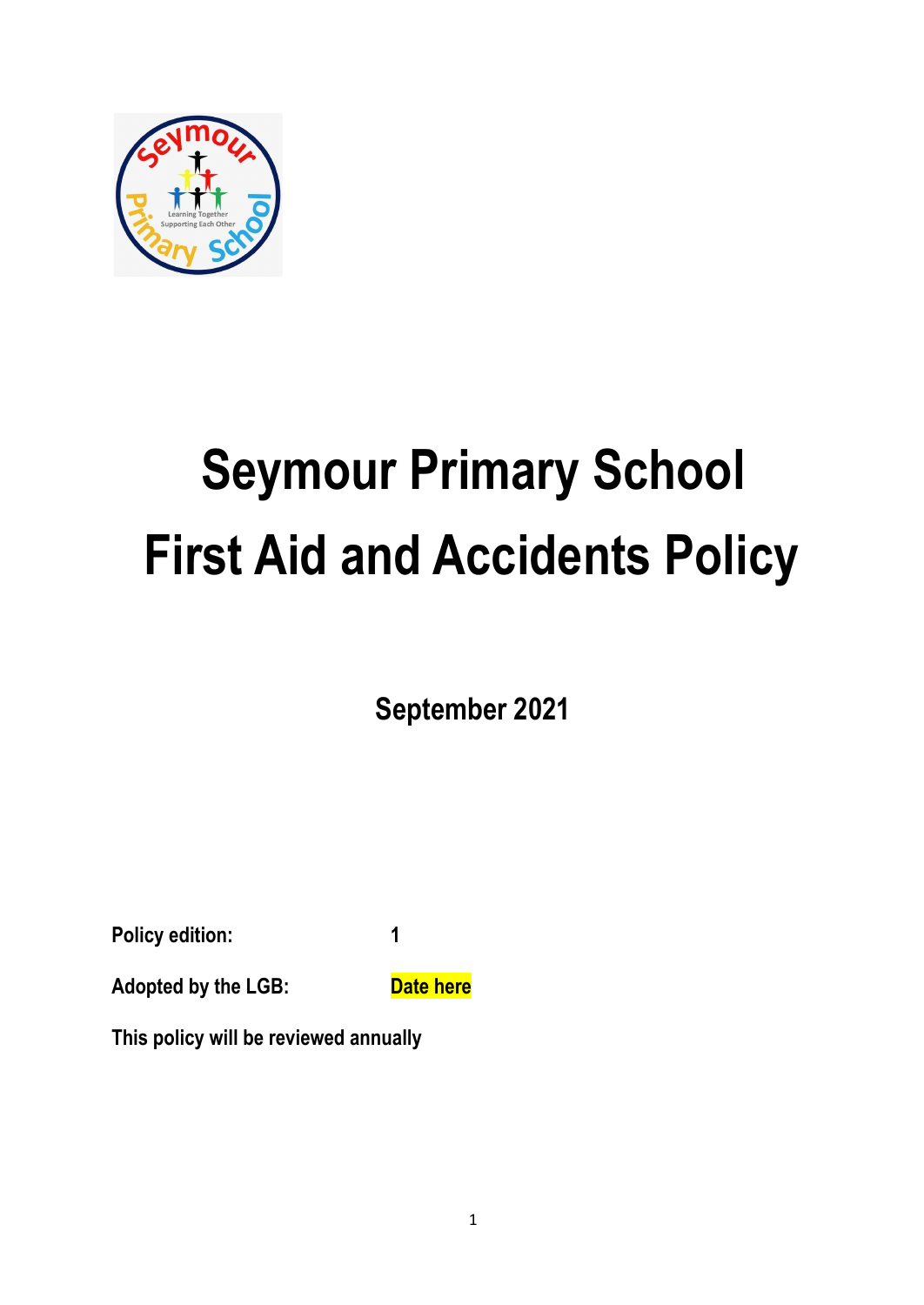

# **Seymour Primary School First Aid and Accidents Policy**

**September 2021**

**Policy edition: 1**

**Adopted by the LGB:** Date here

**This policy will be reviewed annually**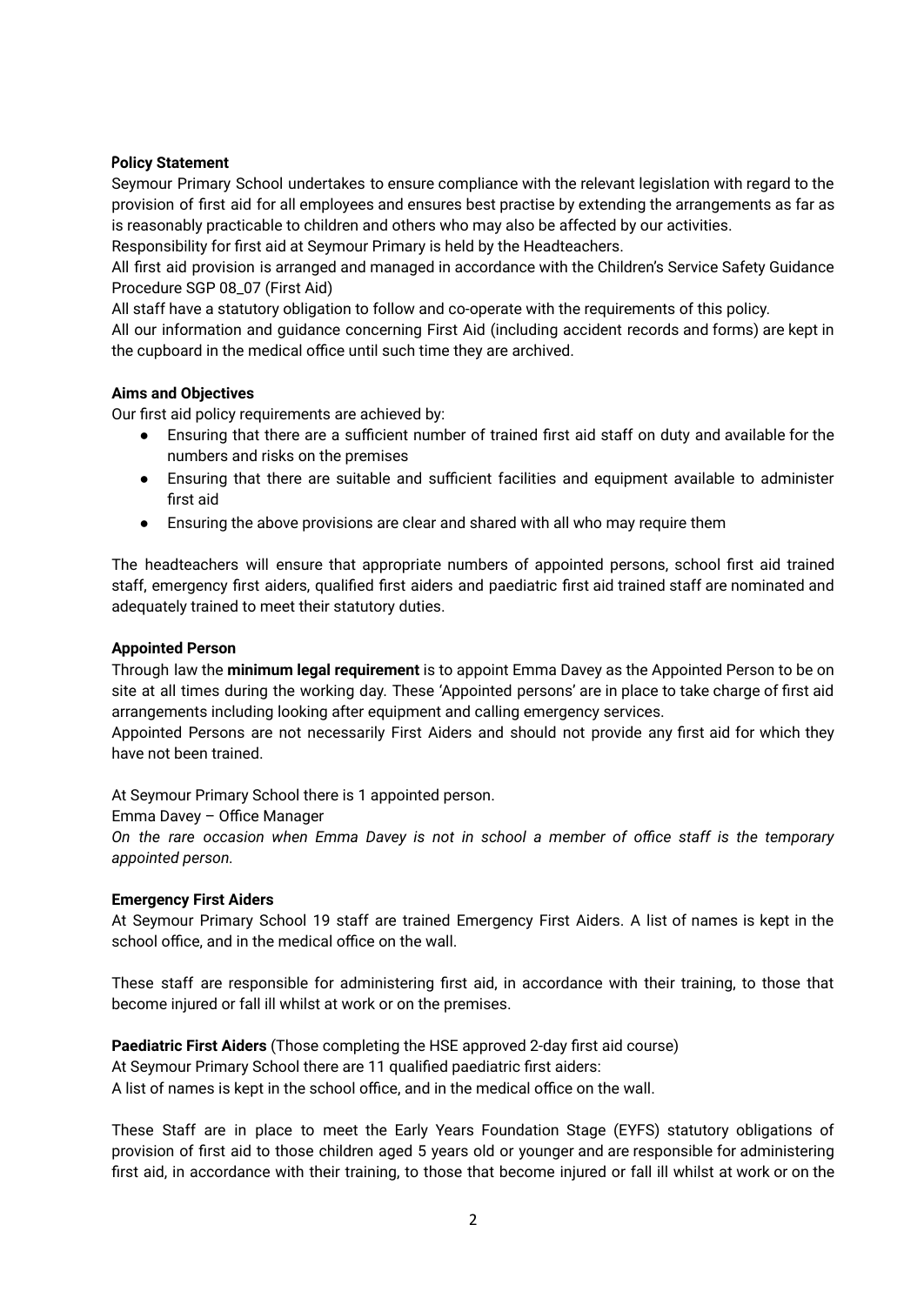#### **Policy Statement**

Seymour Primary School undertakes to ensure compliance with the relevant legislation with regard to the provision of first aid for all employees and ensures best practise by extending the arrangements as far as is reasonably practicable to children and others who may also be affected by our activities.

Responsibility for first aid at Seymour Primary is held by the Headteachers.

All first aid provision is arranged and managed in accordance with the Children's Service Safety Guidance Procedure SGP 08\_07 (First Aid)

All staff have a statutory obligation to follow and co-operate with the requirements of this policy.

All our information and guidance concerning First Aid (including accident records and forms) are kept in the cupboard in the medical office until such time they are archived.

## **Aims and Objectives**

Our first aid policy requirements are achieved by:

- Ensuring that there are a sufficient number of trained first aid staff on duty and available for the numbers and risks on the premises
- Ensuring that there are suitable and sufficient facilities and equipment available to administer first aid
- Ensuring the above provisions are clear and shared with all who may require them

The headteachers will ensure that appropriate numbers of appointed persons, school first aid trained staff, emergency first aiders, qualified first aiders and paediatric first aid trained staff are nominated and adequately trained to meet their statutory duties.

#### **Appointed Person**

Through law the **minimum legal requirement** is to appoint Emma Davey as the Appointed Person to be on site at all times during the working day. These 'Appointed persons' are in place to take charge of first aid arrangements including looking after equipment and calling emergency services.

Appointed Persons are not necessarily First Aiders and should not provide any first aid for which they have not been trained.

At Seymour Primary School there is 1 appointed person.

#### Emma Davey – Office Manager

On the rare occasion when Emma Davey is not in school a member of office staff is the temporary *appointed person.*

#### **Emergency First Aiders**

At Seymour Primary School 19 staff are trained Emergency First Aiders. A list of names is kept in the school office, and in the medical office on the wall.

These staff are responsible for administering first aid, in accordance with their training, to those that become injured or fall ill whilst at work or on the premises.

**Paediatric First Aiders** (Those completing the HSE approved 2-day first aid course) At Seymour Primary School there are 11 qualified paediatric first aiders: A list of names is kept in the school office, and in the medical office on the wall.

These Staff are in place to meet the Early Years Foundation Stage (EYFS) statutory obligations of provision of first aid to those children aged 5 years old or younger and are responsible for administering first aid, in accordance with their training, to those that become injured or fall ill whilst at work or on the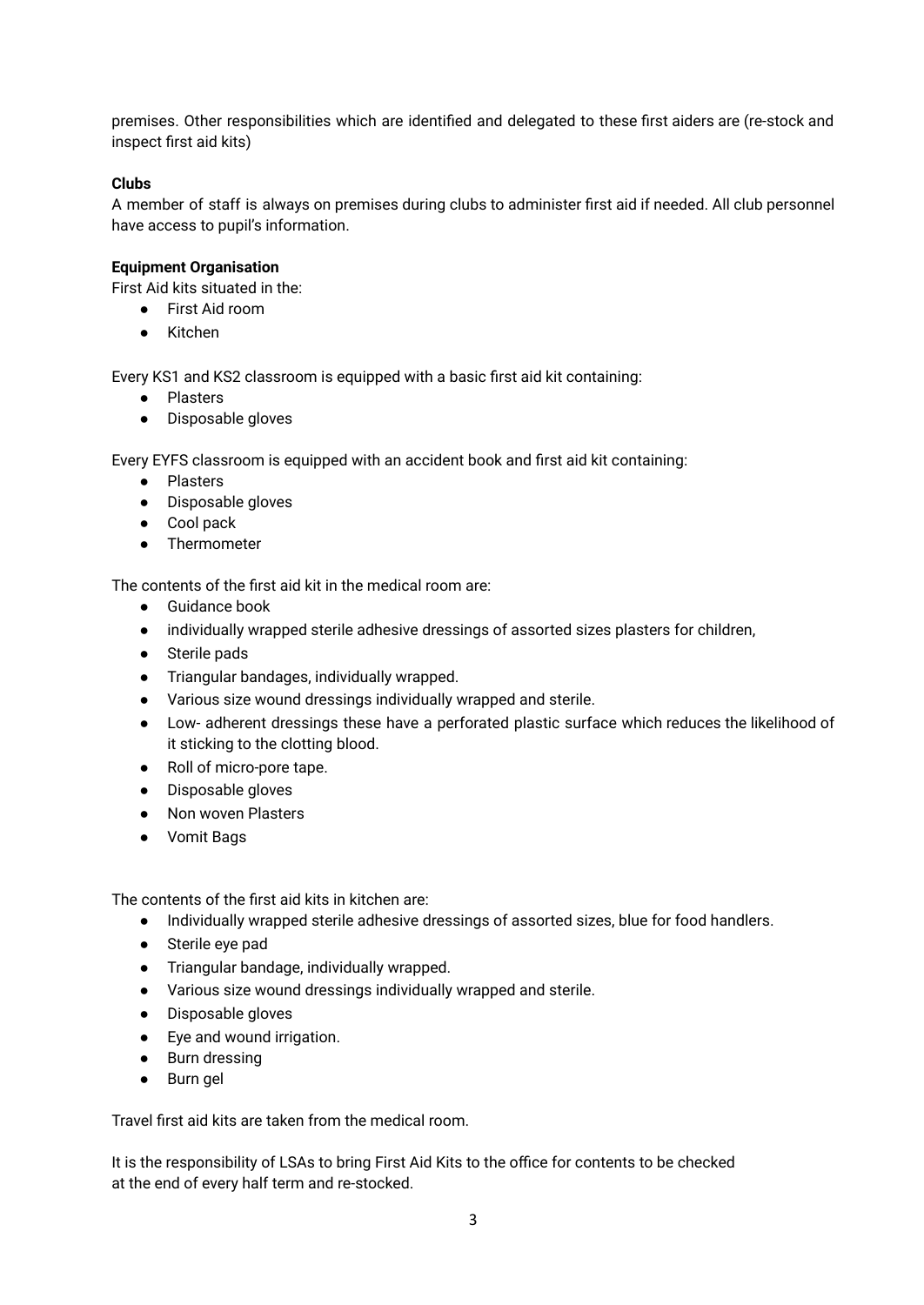premises. Other responsibilities which are identified and delegated to these first aiders are (re-stock and inspect first aid kits)

## **Clubs**

A member of staff is always on premises during clubs to administer first aid if needed. All club personnel have access to pupil's information.

#### **Equipment Organisation**

First Aid kits situated in the:

- First Aid room
- Kitchen

Every KS1 and KS2 classroom is equipped with a basic first aid kit containing:

- Plasters
- Disposable gloves

Every EYFS classroom is equipped with an accident book and first aid kit containing:

- Plasters
- Disposable gloves
- Cool pack
- Thermometer

The contents of the first aid kit in the medical room are:

- Guidance book
- individually wrapped sterile adhesive dressings of assorted sizes plasters for children,
- Sterile pads
- Triangular bandages, individually wrapped.
- Various size wound dressings individually wrapped and sterile.
- Low- adherent dressings these have a perforated plastic surface which reduces the likelihood of it sticking to the clotting blood.
- Roll of micro-pore tape.
- Disposable gloves
- Non woven Plasters
- Vomit Bags

The contents of the first aid kits in kitchen are:

- Individually wrapped sterile adhesive dressings of assorted sizes, blue for food handlers.
- Sterile eye pad
- Triangular bandage, individually wrapped.
- Various size wound dressings individually wrapped and sterile.
- Disposable gloves
- Eye and wound irrigation.
- Burn dressing
- Burn gel

Travel first aid kits are taken from the medical room.

It is the responsibility of LSAs to bring First Aid Kits to the office for contents to be checked at the end of every half term and re-stocked.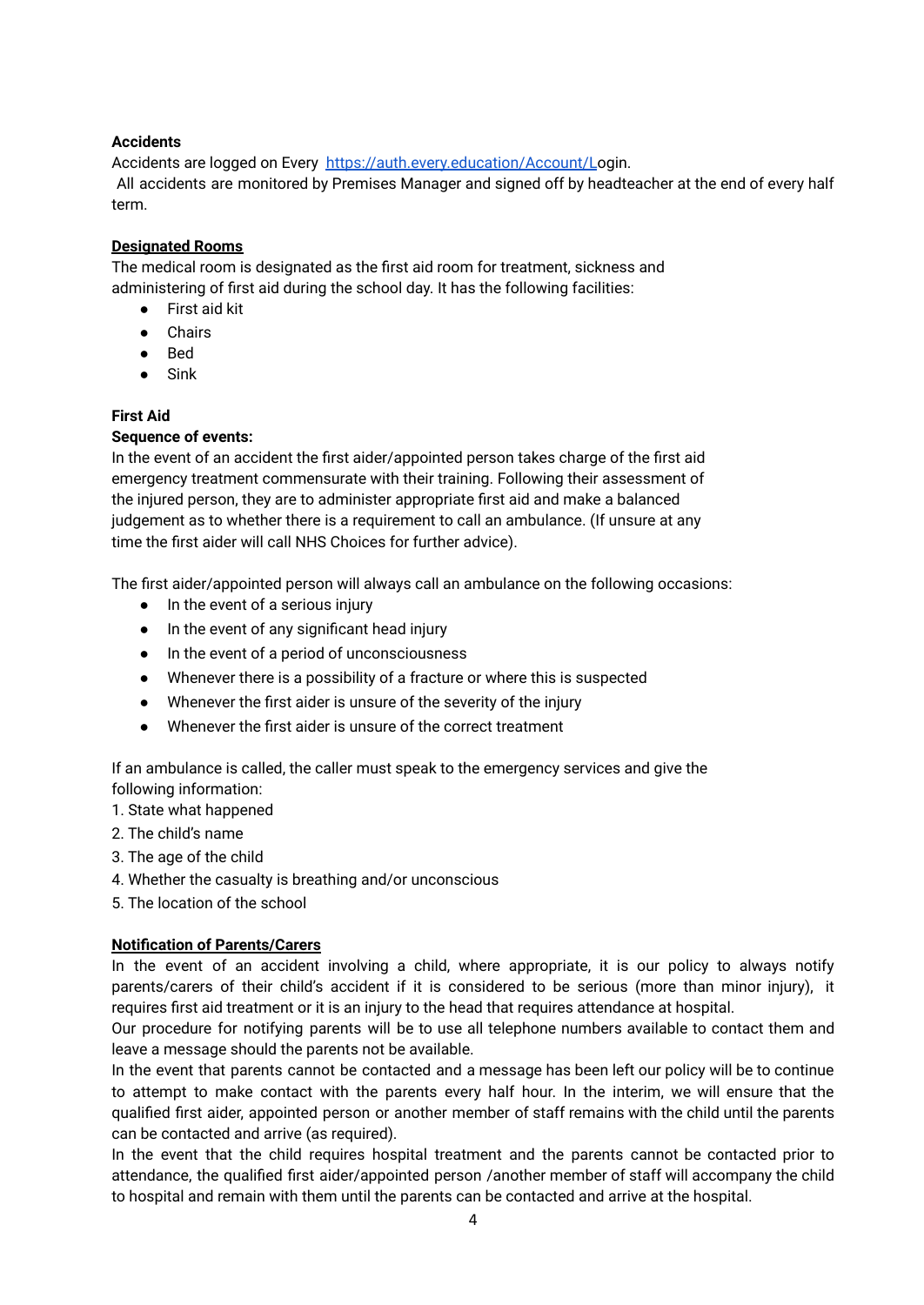## **Accidents**

Accidents are logged on Every <https://auth.every.education/Account/L>ogin. All accidents are monitored by Premises Manager and signed off by headteacher at the end of every half term.

## **Designated Rooms**

The medical room is designated as the first aid room for treatment, sickness and administering of first aid during the school day. It has the following facilities:

- First aid kit
- Chairs
- Bed
- Sink

## **First Aid**

# **Sequence of events:**

In the event of an accident the first aider/appointed person takes charge of the first aid emergency treatment commensurate with their training. Following their assessment of the injured person, they are to administer appropriate first aid and make a balanced judgement as to whether there is a requirement to call an ambulance. (If unsure at any time the first aider will call NHS Choices for further advice).

The first aider/appointed person will always call an ambulance on the following occasions:

- In the event of a serious injury
- In the event of any significant head injury
- In the event of a period of unconsciousness
- Whenever there is a possibility of a fracture or where this is suspected
- Whenever the first aider is unsure of the severity of the injury
- Whenever the first aider is unsure of the correct treatment

If an ambulance is called, the caller must speak to the emergency services and give the following information:

- 1. State what happened
- 2. The child's name
- 3. The age of the child
- 4. Whether the casualty is breathing and/or unconscious
- 5. The location of the school

#### **Notification of Parents/Carers**

In the event of an accident involving a child, where appropriate, it is our policy to always notify parents/carers of their child's accident if it is considered to be serious (more than minor injury), it requires first aid treatment or it is an injury to the head that requires attendance at hospital.

Our procedure for notifying parents will be to use all telephone numbers available to contact them and leave a message should the parents not be available.

In the event that parents cannot be contacted and a message has been left our policy will be to continue to attempt to make contact with the parents every half hour. In the interim, we will ensure that the qualified first aider, appointed person or another member of staff remains with the child until the parents can be contacted and arrive (as required).

In the event that the child requires hospital treatment and the parents cannot be contacted prior to attendance, the qualified first aider/appointed person /another member of staff will accompany the child to hospital and remain with them until the parents can be contacted and arrive at the hospital.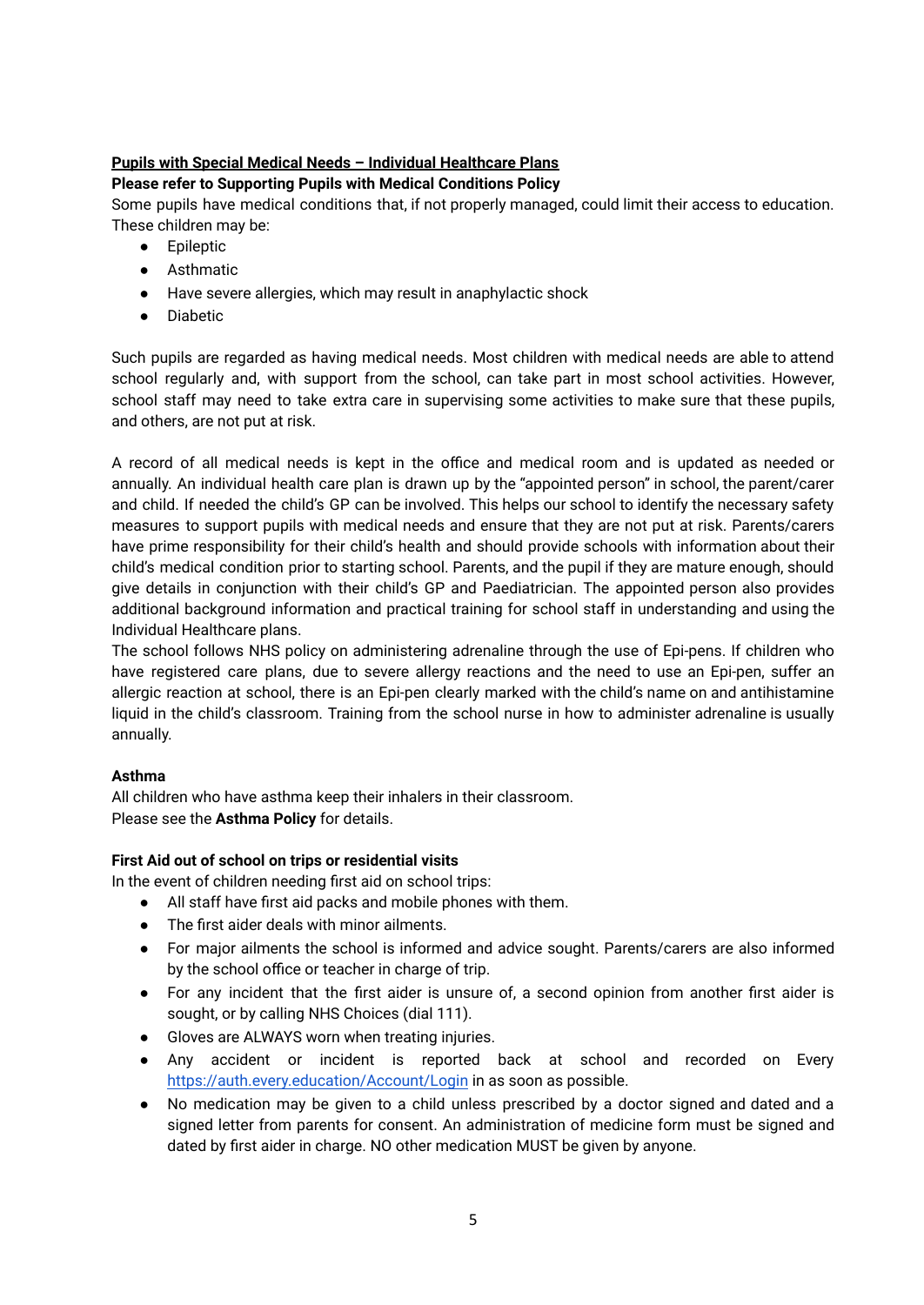# **Pupils with Special Medical Needs – Individual Healthcare Plans**

# **Please refer to Supporting Pupils with Medical Conditions Policy**

Some pupils have medical conditions that, if not properly managed, could limit their access to education. These children may be:

- Epileptic
- Asthmatic
- Have severe allergies, which may result in anaphylactic shock
- Diabetic

Such pupils are regarded as having medical needs. Most children with medical needs are able to attend school regularly and, with support from the school, can take part in most school activities. However, school staff may need to take extra care in supervising some activities to make sure that these pupils, and others, are not put at risk.

A record of all medical needs is kept in the office and medical room and is updated as needed or annually. An individual health care plan is drawn up by the "appointed person" in school, the parent/carer and child. If needed the child's GP can be involved. This helps our school to identify the necessary safety measures to support pupils with medical needs and ensure that they are not put at risk. Parents/carers have prime responsibility for their child's health and should provide schools with information about their child's medical condition prior to starting school. Parents, and the pupil if they are mature enough, should give details in conjunction with their child's GP and Paediatrician. The appointed person also provides additional background information and practical training for school staff in understanding and using the Individual Healthcare plans.

The school follows NHS policy on administering adrenaline through the use of Epi-pens. If children who have registered care plans, due to severe allergy reactions and the need to use an Epi-pen, suffer an allergic reaction at school, there is an Epi-pen clearly marked with the child's name on and antihistamine liquid in the child's classroom. Training from the school nurse in how to administer adrenaline is usually annually.

# **Asthma**

All children who have asthma keep their inhalers in their classroom. Please see the **Asthma Policy** for details.

# **First Aid out of school on trips or residential visits**

In the event of children needing first aid on school trips:

- All staff have first aid packs and mobile phones with them.
- The first aider deals with minor ailments.
- For major ailments the school is informed and advice sought. Parents/carers are also informed by the school office or teacher in charge of trip.
- For any incident that the first aider is unsure of, a second opinion from another first aider is sought, or by calling NHS Choices (dial 111).
- Gloves are ALWAYS worn when treating injuries.
- Any accident or incident is reported back at school and recorded on Every <https://auth.every.education/Account/Login> in as soon as possible.
- No medication may be given to a child unless prescribed by a doctor signed and dated and a signed letter from parents for consent. An administration of medicine form must be signed and dated by first aider in charge. NO other medication MUST be given by anyone.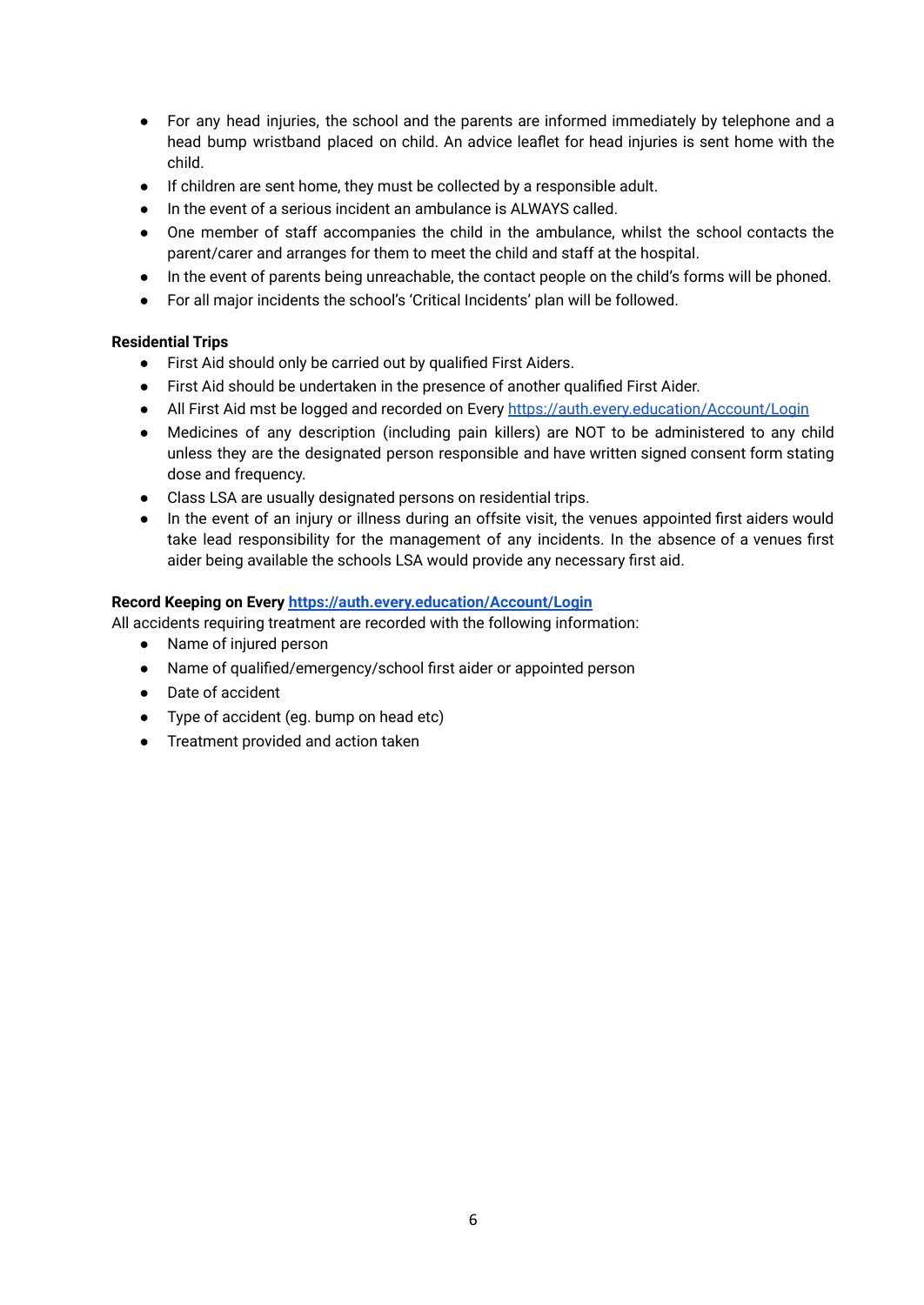- For any head injuries, the school and the parents are informed immediately by telephone and a head bump wristband placed on child. An advice leaflet for head injuries is sent home with the child.
- If children are sent home, they must be collected by a responsible adult.
- In the event of a serious incident an ambulance is ALWAYS called.
- One member of staff accompanies the child in the ambulance, whilst the school contacts the parent/carer and arranges for them to meet the child and staff at the hospital.
- In the event of parents being unreachable, the contact people on the child's forms will be phoned.
- For all major incidents the school's 'Critical Incidents' plan will be followed.

# **Residential Trips**

- First Aid should only be carried out by qualified First Aiders.
- First Aid should be undertaken in the presence of another qualified First Aider.
- All First Aid mst be logged and recorded on Every <https://auth.every.education/Account/Login>
- Medicines of any description (including pain killers) are NOT to be administered to any child unless they are the designated person responsible and have written signed consent form stating dose and frequency.
- Class LSA are usually designated persons on residential trips.
- In the event of an injury or illness during an offsite visit, the venues appointed first aiders would take lead responsibility for the management of any incidents. In the absence of a venues first aider being available the schools LSA would provide any necessary first aid.

## **Record Keeping on Every <https://auth.every.education/Account/Login>**

All accidents requiring treatment are recorded with the following information:

- Name of injured person
- Name of qualified/emergency/school first aider or appointed person
- Date of accident
- Type of accident (eg. bump on head etc)
- Treatment provided and action taken